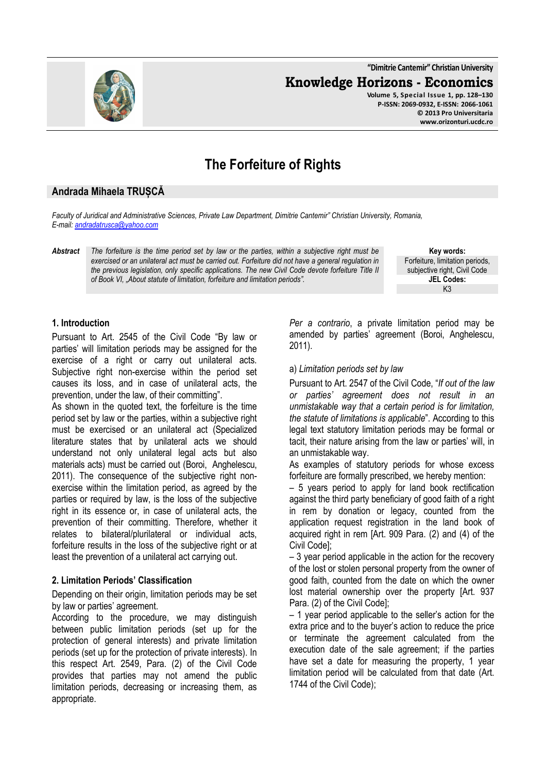**"Dimitrie Cantemir" Christian University Knowledge Horizons - Economics Volume 5, Special Issue 1, pp. 128–130 P-ISSN: 2069-0932, E-ISSN: 2066-1061 © 2013 Pro Universitaria www.orizonturi.ucdc.ro**

# **The Forfeiture of Rights**

## **Andrada Mihaela TRUȘCĂ**

*Faculty of Juridical and Administrative Sciences, Private Law Department, Dimitrie Cantemir" Christian University, Romania, E-mail: andradatrusca@yahoo.com* 

*Abstract The forfeiture is the time period set by law or the parties, within a subjective right must be exercised or an unilateral act must be carried out. Forfeiture did not have a general regulation in the previous legislation, only specific applications. The new Civil Code devote forfeiture Title II of Book VI, "About statute of limitation, forfeiture and limitation periods".* 

**Key words:** Forfeiture, limitation periods, subjective right, Civil Code **JEL Codes:** K3

#### **1. Introduction**

Pursuant to Art. 2545 of the Civil Code "By law or parties' will limitation periods may be assigned for the exercise of a right or carry out unilateral acts. Subjective right non-exercise within the period set causes its loss, and in case of unilateral acts, the prevention, under the law, of their committing".

As shown in the quoted text, the forfeiture is the time period set by law or the parties, within a subjective right must be exercised or an unilateral act (Specialized literature states that by unilateral acts we should understand not only unilateral legal acts but also materials acts) must be carried out (Boroi, Anghelescu, 2011). The consequence of the subjective right nonexercise within the limitation period, as agreed by the parties or required by law, is the loss of the subjective right in its essence or, in case of unilateral acts, the prevention of their committing. Therefore, whether it relates to bilateral/plurilateral or individual acts, forfeiture results in the loss of the subjective right or at least the prevention of a unilateral act carrying out.

#### **2. Limitation Periods' Classification**

Depending on their origin, limitation periods may be set by law or parties' agreement.

According to the procedure, we may distinguish between public limitation periods (set up for the protection of general interests) and private limitation periods (set up for the protection of private interests). In this respect Art. 2549, Para. (2) of the Civil Code provides that parties may not amend the public limitation periods, decreasing or increasing them, as appropriate.

*Per a contrario*, a private limitation period may be amended by parties' agreement (Boroi, Anghelescu, 2011).

#### a) *Limitation periods set by law*

Pursuant to Art. 2547 of the Civil Code, "*If out of the law or parties' agreement does not result in an unmistakable way that a certain period is for limitation, the statute of limitations is applicable*". According to this legal text statutory limitation periods may be formal or tacit, their nature arising from the law or parties' will, in an unmistakable way.

As examples of statutory periods for whose excess forfeiture are formally prescribed, we hereby mention:

– 5 years period to apply for land book rectification against the third party beneficiary of good faith of a right in rem by donation or legacy, counted from the application request registration in the land book of acquired right in rem [Art. 909 Para. (2) and (4) of the Civil Code];

– 3 year period applicable in the action for the recovery of the lost or stolen personal property from the owner of good faith, counted from the date on which the owner lost material ownership over the property [Art. 937 Para. (2) of the Civil Code];

– 1 year period applicable to the seller's action for the extra price and to the buyer's action to reduce the price or terminate the agreement calculated from the execution date of the sale agreement; if the parties have set a date for measuring the property, 1 year limitation period will be calculated from that date (Art. 1744 of the Civil Code);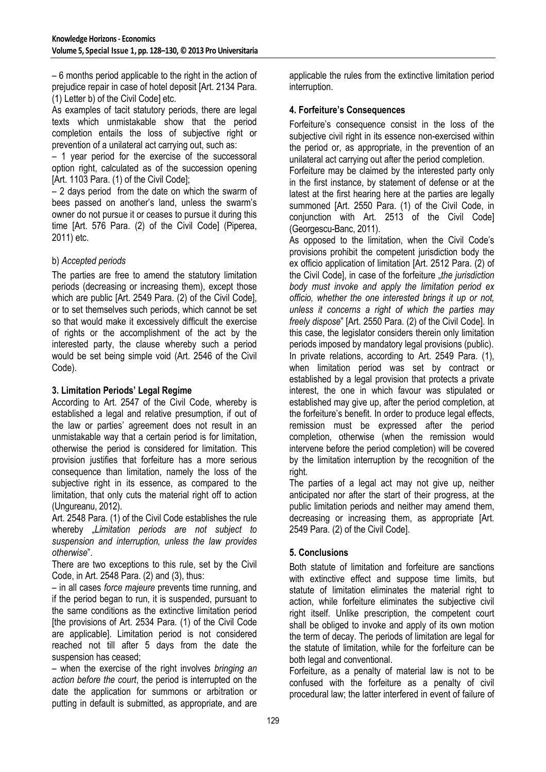– 6 months period applicable to the right in the action of prejudice repair in case of hotel deposit [Art. 2134 Para. (1) Letter b) of the Civil Code] etc.

As examples of tacit statutory periods, there are legal texts which unmistakable show that the period completion entails the loss of subjective right or prevention of a unilateral act carrying out, such as:

– 1 year period for the exercise of the successoral option right, calculated as of the succession opening [Art. 1103 Para. (1) of the Civil Code];

– 2 days period from the date on which the swarm of bees passed on another's land, unless the swarm's owner do not pursue it or ceases to pursue it during this time [Art. 576 Para. (2) of the Civil Code] (Piperea, 2011) etc.

## b) *Accepted periods*

The parties are free to amend the statutory limitation periods (decreasing or increasing them), except those which are public [Art. 2549 Para. (2) of the Civil Code], or to set themselves such periods, which cannot be set so that would make it excessively difficult the exercise of rights or the accomplishment of the act by the interested party, the clause whereby such a period would be set being simple void (Art. 2546 of the Civil Code).

## **3. Limitation Periods' Legal Regime**

According to Art. 2547 of the Civil Code, whereby is established a legal and relative presumption, if out of the law or parties' agreement does not result in an unmistakable way that a certain period is for limitation, otherwise the period is considered for limitation. This provision justifies that forfeiture has a more serious consequence than limitation, namely the loss of the subjective right in its essence, as compared to the limitation, that only cuts the material right off to action (Ungureanu, 2012).

Art. 2548 Para. (1) of the Civil Code establishes the rule whereby "*Limitation periods are not subject to suspension and interruption, unless the law provides otherwise*".

There are two exceptions to this rule, set by the Civil Code, in Art. 2548 Para. (2) and (3), thus:

– in all cases *force majeure* prevents time running, and if the period began to run, it is suspended, pursuant to the same conditions as the extinctive limitation period [the provisions of Art. 2534 Para. (1) of the Civil Code are applicable]. Limitation period is not considered reached not till after 5 days from the date the suspension has ceased;

– when the exercise of the right involves *bringing an action before the court*, the period is interrupted on the date the application for summons or arbitration or putting in default is submitted, as appropriate, and are

applicable the rules from the extinctive limitation period interruption.

## **4. Forfeiture's Consequences**

Forfeiture's consequence consist in the loss of the subjective civil right in its essence non-exercised within the period or, as appropriate, in the prevention of an unilateral act carrying out after the period completion.

Forfeiture may be claimed by the interested party only in the first instance, by statement of defense or at the latest at the first hearing here at the parties are legally summoned [Art. 2550 Para. (1) of the Civil Code, in conjunction with Art. 2513 of the Civil Code] (Georgescu-Banc, 2011).

As opposed to the limitation, when the Civil Code's provisions prohibit the competent jurisdiction body the ex officio application of limitation [Art. 2512 Para. (2) of the Civil Code], in case of the forfeiture "*the jurisdiction body must invoke and apply the limitation period ex officio, whether the one interested brings it up or not, unless it concerns a right of which the parties may freely dispose*" [Art. 2550 Para. (2) of the Civil Code]. In this case, the legislator considers therein only limitation periods imposed by mandatory legal provisions (public). In private relations, according to Art. 2549 Para. (1), when limitation period was set by contract or established by a legal provision that protects a private interest, the one in which favour was stipulated or established may give up, after the period completion, at the forfeiture's benefit. In order to produce legal effects, remission must be expressed after the period completion, otherwise (when the remission would intervene before the period completion) will be covered by the limitation interruption by the recognition of the right.

The parties of a legal act may not give up, neither anticipated nor after the start of their progress, at the public limitation periods and neither may amend them, decreasing or increasing them, as appropriate [Art. 2549 Para. (2) of the Civil Code].

# **5. Conclusions**

Both statute of limitation and forfeiture are sanctions with extinctive effect and suppose time limits, but statute of limitation eliminates the material right to action, while forfeiture eliminates the subjective civil right itself. Unlike prescription, the competent court shall be obliged to invoke and apply of its own motion the term of decay. The periods of limitation are legal for the statute of limitation, while for the forfeiture can be both legal and conventional.

Forfeiture, as a penalty of material law is not to be confused with the forfeiture as a penalty of civil procedural law; the latter interfered in event of failure of